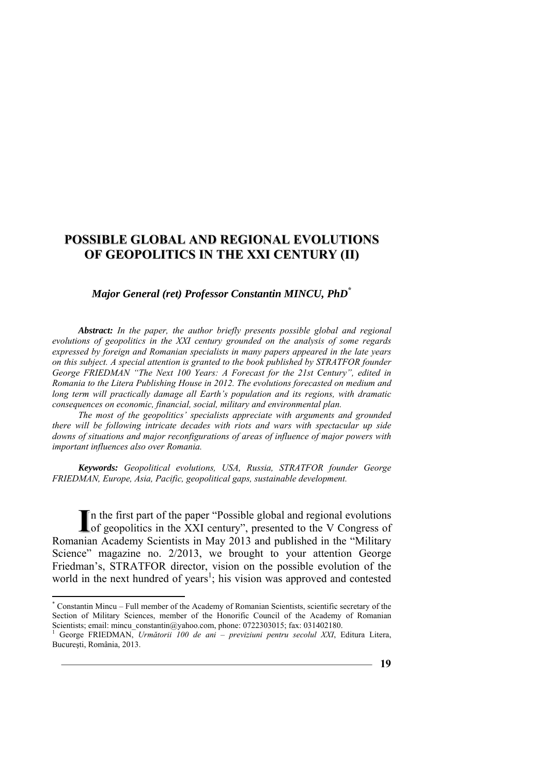#### *Major General (ret) Professor Constantin MINCU, PhD***\***

*Abstract: In the paper, the author briefly presents possible global and regional evolutions of geopolitics in the XXI century grounded on the analysis of some regards expressed by foreign and Romanian specialists in many papers appeared in the late years on this subject. A special attention is granted to the book published by STRATFOR founder George FRIEDMAN "The Next 100 Years: A Forecast for the 21st Century", edited in Romania to the Litera Publishing House in 2012. The evolutions forecasted on medium and long term will practically damage all Earth's population and its regions, with dramatic consequences on economic, financial, social, military and environmental plan.*

*The most of the geopolitics' specialists appreciate with arguments and grounded there will be following intricate decades with riots and wars with spectacular up side downs of situations and major reconfigurations of areas of influence of major powers with important influences also over Romania.* 

*Keywords: Geopolitical evolutions, USA, Russia, STRATFOR founder George FRIEDMAN, Europe, Asia, Pacific, geopolitical gaps, sustainable development.* 

n the first part of the paper "Possible global and regional evolutions In the first part of the paper "Possible global and regional evolutions of geopolitics in the XXI century", presented to the V Congress of Romanian Academy Scientists in May 2013 and published in the "Military Science" magazine no. 2/2013, we brought to your attention George Friedman's, STRATFOR director, vision on the possible evolution of the world in the next hundred of years<sup>1</sup>; his vision was approved and contested

 $\overline{a}$ 

<sup>\*</sup> Constantin Mincu – Full member of the Academy of Romanian Scientists, scientific secretary of the Section of Military Sciences, member of the Honorific Council of the Academy of Romanian Scientists; email: mincu constantin@yahoo.com, phone: 0722303015; fax: 031402180.

George FRIEDMAN, *Următorii 100 de ani – previziuni pentru secolul XXI*, Editura Litera, Bucureşti, România, 2013.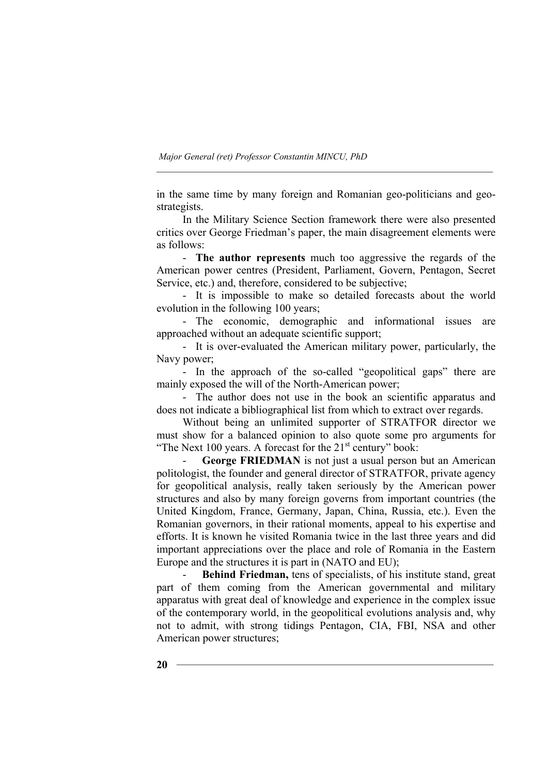in the same time by many foreign and Romanian geo-politicians and geostrategists.

In the Military Science Section framework there were also presented critics over George Friedman's paper, the main disagreement elements were as follows:

- **The author represents** much too aggressive the regards of the American power centres (President, Parliament, Govern, Pentagon, Secret Service, etc.) and, therefore, considered to be subjective;

- It is impossible to make so detailed forecasts about the world evolution in the following 100 years;

- The economic, demographic and informational issues are approached without an adequate scientific support;

- It is over-evaluated the American military power, particularly, the Navy power;

- In the approach of the so-called "geopolitical gaps" there are mainly exposed the will of the North-American power;

- The author does not use in the book an scientific apparatus and does not indicate a bibliographical list from which to extract over regards.

Without being an unlimited supporter of STRATFOR director we must show for a balanced opinion to also quote some pro arguments for "The Next 100 years. A forecast for the  $21<sup>st</sup>$  century" book:

George FRIEDMAN is not just a usual person but an American politologist, the founder and general director of STRATFOR, private agency for geopolitical analysis, really taken seriously by the American power structures and also by many foreign governs from important countries (the United Kingdom, France, Germany, Japan, China, Russia, etc.). Even the Romanian governors, in their rational moments, appeal to his expertise and efforts. It is known he visited Romania twice in the last three years and did important appreciations over the place and role of Romania in the Eastern Europe and the structures it is part in (NATO and EU);

Behind Friedman, tens of specialists, of his institute stand, great part of them coming from the American governmental and military apparatus with great deal of knowledge and experience in the complex issue of the contemporary world, in the geopolitical evolutions analysis and, why not to admit, with strong tidings Pentagon, CIA, FBI, NSA and other American power structures;

**20**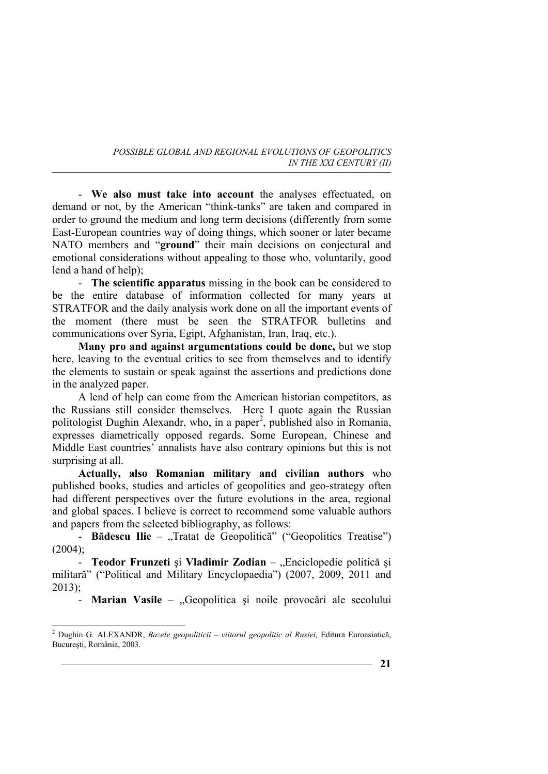- **We also must take into account** the analyses effectuated, on demand or not, by the American "think-tanks" are taken and compared in order to ground the medium and long term decisions (differently from some East-European countries way of doing things, which sooner or later became NATO members and "**ground**" their main decisions on conjectural and emotional considerations without appealing to those who, voluntarily, good lend a hand of help);

- **The scientific apparatus** missing in the book can be considered to be the entire database of information collected for many years at STRATFOR and the daily analysis work done on all the important events of the moment (there must be seen the STRATFOR bulletins and communications over Syria, Egipt, Afghanistan, Iran, Iraq, etc.).

**Many pro and against argumentations could be done,** but we stop here, leaving to the eventual critics to see from themselves and to identify the elements to sustain or speak against the assertions and predictions done in the analyzed paper.

A lend of help can come from the American historian competitors, as the Russians still consider themselves. Here I quote again the Russian politologist Dughin Alexandr, who, in a paper<sup>2</sup>, published also in Romania, expresses diametrically opposed regards. Some European, Chinese and Middle East countries' annalists have also contrary opinions but this is not surprising at all.

**Actually, also Romanian military and civilian authors** who published books, studies and articles of geopolitics and geo-strategy often had different perspectives over the future evolutions in the area, regional and global spaces. I believe is correct to recommend some valuable authors and papers from the selected bibliography, as follows:

- **Bădescu Ilie** – "Tratat de Geopolitică" ("Geopolitics Treatise")  $(2004)$ ;

- **Teodor Frunzeti** și Vladimir Zodian – "Enciclopedie politică și militară" ("Political and Military Encyclopaedia") (2007, 2009, 2011 and 2013);

- **Marian Vasile** – "Geopolitica și noile provocări ale secolului

 2 Dughin G. ALEXANDR, *Bazele geopoliticii – viitorul geopolitic al Rusiei,* Editura Euroasiatică, Bucureşti, România, 2003.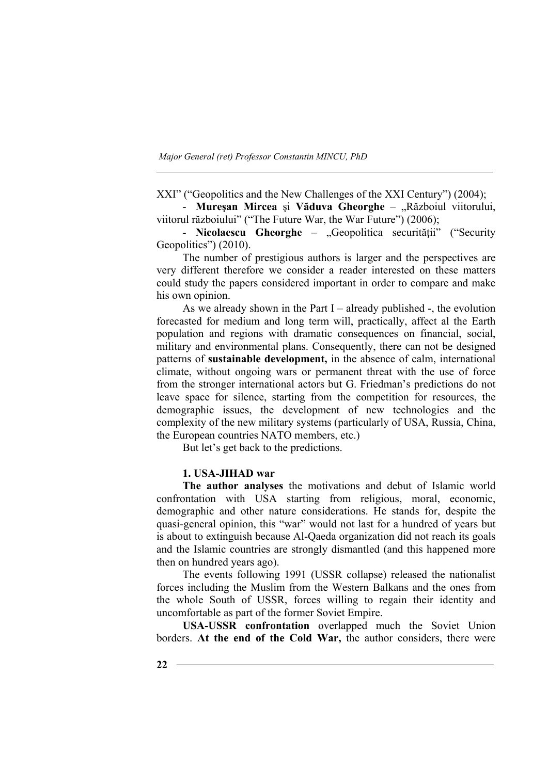XXI" ("Geopolitics and the New Challenges of the XXI Century") (2004);

- **Mureşan Mircea** şi **Văduva Gheorghe** – "Războiul viitorului, viitorul războiului" ("The Future War, the War Future") (2006);

- **Nicolaescu Gheorghe** – "Geopolitica securității" ("Security Geopolitics") (2010).

The number of prestigious authors is larger and the perspectives are very different therefore we consider a reader interested on these matters could study the papers considered important in order to compare and make his own opinion.

As we already shown in the Part I – already published -, the evolution forecasted for medium and long term will, practically, affect al the Earth population and regions with dramatic consequences on financial, social, military and environmental plans. Consequently, there can not be designed patterns of **sustainable development,** in the absence of calm, international climate, without ongoing wars or permanent threat with the use of force from the stronger international actors but G. Friedman's predictions do not leave space for silence, starting from the competition for resources, the demographic issues, the development of new technologies and the complexity of the new military systems (particularly of USA, Russia, China, the European countries NATO members, etc.)

But let's get back to the predictions.

#### **1. USA-JIHAD war**

**The author analyses** the motivations and debut of Islamic world confrontation with USA starting from religious, moral, economic, demographic and other nature considerations. He stands for, despite the quasi-general opinion, this "war" would not last for a hundred of years but is about to extinguish because Al-Qaeda organization did not reach its goals and the Islamic countries are strongly dismantled (and this happened more then on hundred years ago).

The events following 1991 (USSR collapse) released the nationalist forces including the Muslim from the Western Balkans and the ones from the whole South of USSR, forces willing to regain their identity and uncomfortable as part of the former Soviet Empire.

**USA-USSR confrontation** overlapped much the Soviet Union borders. **At the end of the Cold War,** the author considers, there were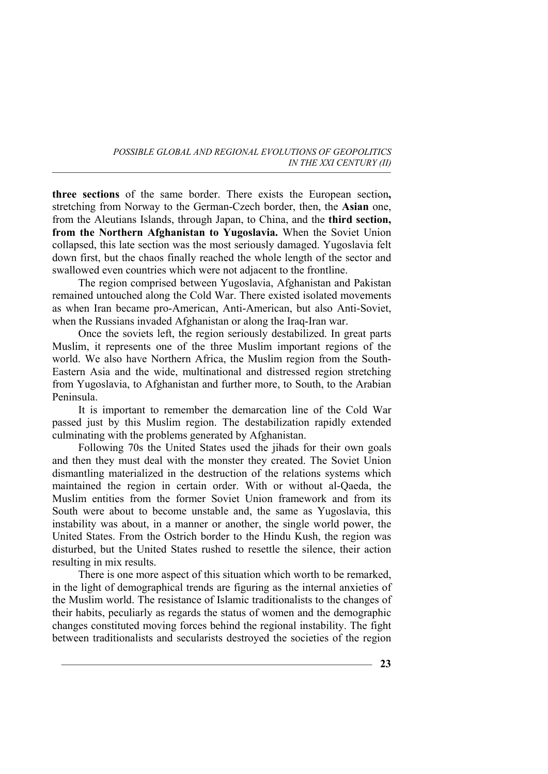**three sections** of the same border. There exists the European section**,**  stretching from Norway to the German-Czech border, then, the **Asian** one, from the Aleutians Islands, through Japan, to China, and the **third section, from the Northern Afghanistan to Yugoslavia.** When the Soviet Union collapsed, this late section was the most seriously damaged. Yugoslavia felt down first, but the chaos finally reached the whole length of the sector and swallowed even countries which were not adjacent to the frontline.

The region comprised between Yugoslavia, Afghanistan and Pakistan remained untouched along the Cold War. There existed isolated movements as when Iran became pro-American, Anti-American, but also Anti-Soviet, when the Russians invaded Afghanistan or along the Iraq-Iran war.

Once the soviets left, the region seriously destabilized. In great parts Muslim, it represents one of the three Muslim important regions of the world. We also have Northern Africa, the Muslim region from the South-Eastern Asia and the wide, multinational and distressed region stretching from Yugoslavia, to Afghanistan and further more, to South, to the Arabian Peninsula.

It is important to remember the demarcation line of the Cold War passed just by this Muslim region. The destabilization rapidly extended culminating with the problems generated by Afghanistan.

Following 70s the United States used the jihads for their own goals and then they must deal with the monster they created. The Soviet Union dismantling materialized in the destruction of the relations systems which maintained the region in certain order. With or without al-Qaeda, the Muslim entities from the former Soviet Union framework and from its South were about to become unstable and, the same as Yugoslavia, this instability was about, in a manner or another, the single world power, the United States. From the Ostrich border to the Hindu Kush, the region was disturbed, but the United States rushed to resettle the silence, their action resulting in mix results.

There is one more aspect of this situation which worth to be remarked, in the light of demographical trends are figuring as the internal anxieties of the Muslim world. The resistance of Islamic traditionalists to the changes of their habits, peculiarly as regards the status of women and the demographic changes constituted moving forces behind the regional instability. The fight between traditionalists and secularists destroyed the societies of the region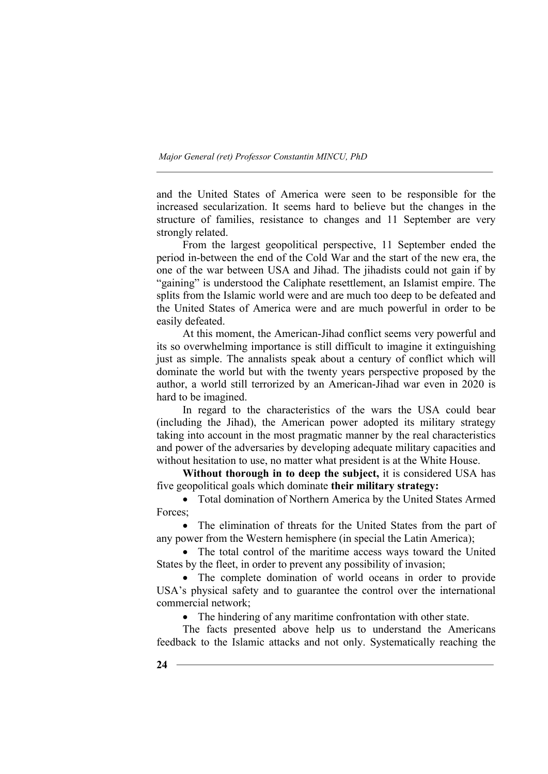and the United States of America were seen to be responsible for the increased secularization. It seems hard to believe but the changes in the structure of families, resistance to changes and 11 September are very strongly related.

From the largest geopolitical perspective, 11 September ended the period in-between the end of the Cold War and the start of the new era, the one of the war between USA and Jihad. The jihadists could not gain if by "gaining" is understood the Caliphate resettlement, an Islamist empire. The splits from the Islamic world were and are much too deep to be defeated and the United States of America were and are much powerful in order to be easily defeated.

At this moment, the American-Jihad conflict seems very powerful and its so overwhelming importance is still difficult to imagine it extinguishing just as simple. The annalists speak about a century of conflict which will dominate the world but with the twenty years perspective proposed by the author, a world still terrorized by an American-Jihad war even in 2020 is hard to be imagined.

In regard to the characteristics of the wars the USA could bear (including the Jihad), the American power adopted its military strategy taking into account in the most pragmatic manner by the real characteristics and power of the adversaries by developing adequate military capacities and without hesitation to use, no matter what president is at the White House.

**Without thorough in to deep the subject,** it is considered USA has five geopolitical goals which dominate **their military strategy:**

• Total domination of Northern America by the United States Armed Forces;

• The elimination of threats for the United States from the part of any power from the Western hemisphere (in special the Latin America);

• The total control of the maritime access ways toward the United States by the fleet, in order to prevent any possibility of invasion;

• The complete domination of world oceans in order to provide USA's physical safety and to guarantee the control over the international commercial network;

• The hindering of any maritime confrontation with other state.

The facts presented above help us to understand the Americans feedback to the Islamic attacks and not only. Systematically reaching the

**24**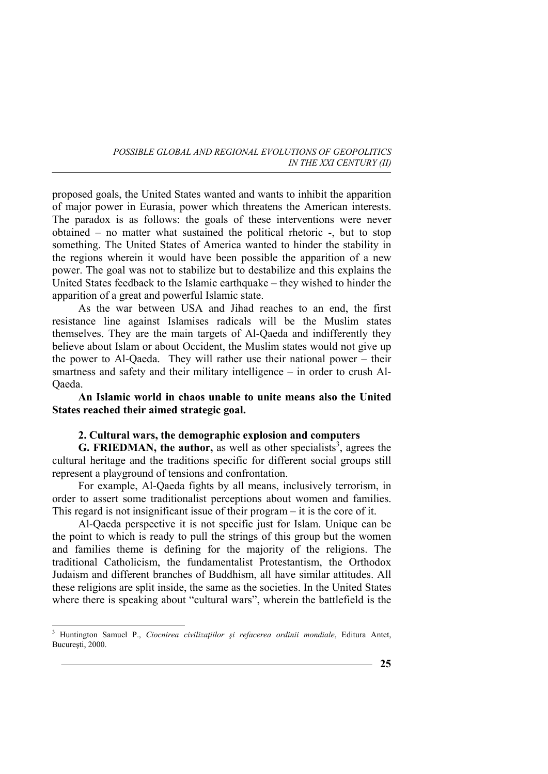proposed goals, the United States wanted and wants to inhibit the apparition of major power in Eurasia, power which threatens the American interests. The paradox is as follows: the goals of these interventions were never obtained – no matter what sustained the political rhetoric -, but to stop something. The United States of America wanted to hinder the stability in the regions wherein it would have been possible the apparition of a new power. The goal was not to stabilize but to destabilize and this explains the United States feedback to the Islamic earthquake – they wished to hinder the apparition of a great and powerful Islamic state.

As the war between USA and Jihad reaches to an end, the first resistance line against Islamises radicals will be the Muslim states themselves. They are the main targets of Al-Qaeda and indifferently they believe about Islam or about Occident, the Muslim states would not give up the power to Al-Qaeda. They will rather use their national power – their smartness and safety and their military intelligence – in order to crush Al-Qaeda.

**An Islamic world in chaos unable to unite means also the United States reached their aimed strategic goal.** 

## **2. Cultural wars, the demographic explosion and computers**

**G. FRIEDMAN, the author, as well as other specialists<sup>3</sup>, agrees the** cultural heritage and the traditions specific for different social groups still represent a playground of tensions and confrontation.

For example, Al-Qaeda fights by all means, inclusively terrorism, in order to assert some traditionalist perceptions about women and families. This regard is not insignificant issue of their program – it is the core of it.

Al-Qaeda perspective it is not specific just for Islam. Unique can be the point to which is ready to pull the strings of this group but the women and families theme is defining for the majority of the religions. The traditional Catholicism, the fundamentalist Protestantism, the Orthodox Judaism and different branches of Buddhism, all have similar attitudes. All these religions are split inside, the same as the societies. In the United States where there is speaking about "cultural wars", wherein the battlefield is the

 3 Huntington Samuel P., *Ciocnirea civilizaţiilor şi refacerea ordinii mondiale*, Editura Antet, Bucureşti, 2000.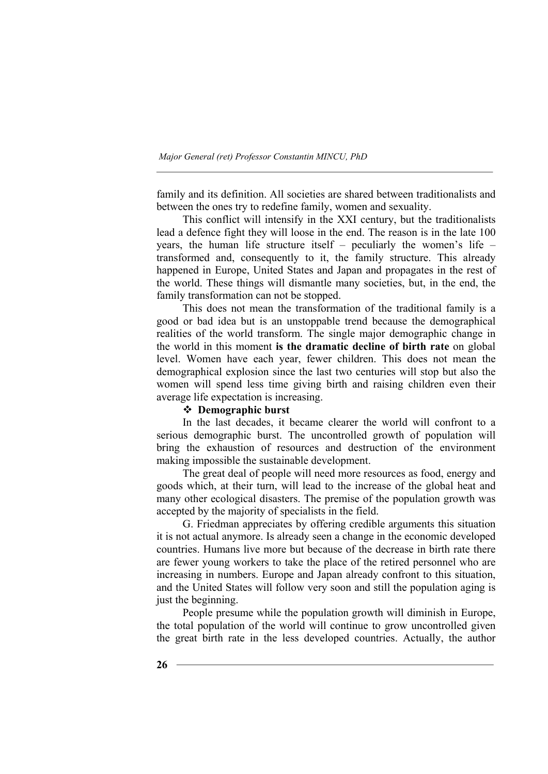family and its definition. All societies are shared between traditionalists and between the ones try to redefine family, women and sexuality.

This conflict will intensify in the XXI century, but the traditionalists lead a defence fight they will loose in the end. The reason is in the late 100 years, the human life structure itself – peculiarly the women's life – transformed and, consequently to it, the family structure. This already happened in Europe, United States and Japan and propagates in the rest of the world. These things will dismantle many societies, but, in the end, the family transformation can not be stopped.

This does not mean the transformation of the traditional family is a good or bad idea but is an unstoppable trend because the demographical realities of the world transform. The single major demographic change in the world in this moment **is the dramatic decline of birth rate** on global level. Women have each year, fewer children. This does not mean the demographical explosion since the last two centuries will stop but also the women will spend less time giving birth and raising children even their average life expectation is increasing.

## **Demographic burst**

In the last decades, it became clearer the world will confront to a serious demographic burst. The uncontrolled growth of population will bring the exhaustion of resources and destruction of the environment making impossible the sustainable development.

The great deal of people will need more resources as food, energy and goods which, at their turn, will lead to the increase of the global heat and many other ecological disasters. The premise of the population growth was accepted by the majority of specialists in the field.

G. Friedman appreciates by offering credible arguments this situation it is not actual anymore. Is already seen a change in the economic developed countries. Humans live more but because of the decrease in birth rate there are fewer young workers to take the place of the retired personnel who are increasing in numbers. Europe and Japan already confront to this situation, and the United States will follow very soon and still the population aging is just the beginning.

People presume while the population growth will diminish in Europe, the total population of the world will continue to grow uncontrolled given the great birth rate in the less developed countries. Actually, the author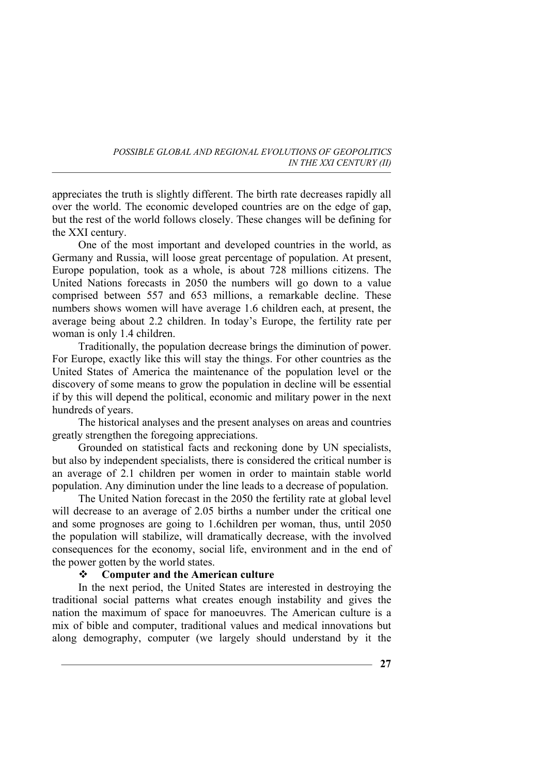appreciates the truth is slightly different. The birth rate decreases rapidly all over the world. The economic developed countries are on the edge of gap, but the rest of the world follows closely. These changes will be defining for the XXI century.

One of the most important and developed countries in the world, as Germany and Russia, will loose great percentage of population. At present, Europe population, took as a whole, is about 728 millions citizens. The United Nations forecasts in 2050 the numbers will go down to a value comprised between 557 and 653 millions, a remarkable decline. These numbers shows women will have average 1.6 children each, at present, the average being about 2.2 children. In today's Europe, the fertility rate per woman is only 1.4 children.

Traditionally, the population decrease brings the diminution of power. For Europe, exactly like this will stay the things. For other countries as the United States of America the maintenance of the population level or the discovery of some means to grow the population in decline will be essential if by this will depend the political, economic and military power in the next hundreds of years.

The historical analyses and the present analyses on areas and countries greatly strengthen the foregoing appreciations.

Grounded on statistical facts and reckoning done by UN specialists, but also by independent specialists, there is considered the critical number is an average of 2.1 children per women in order to maintain stable world population. Any diminution under the line leads to a decrease of population.

The United Nation forecast in the 2050 the fertility rate at global level will decrease to an average of 2.05 births a number under the critical one and some prognoses are going to 1.6children per woman, thus, until 2050 the population will stabilize, will dramatically decrease, with the involved consequences for the economy, social life, environment and in the end of the power gotten by the world states.

### **Computer and the American culture**

In the next period, the United States are interested in destroying the traditional social patterns what creates enough instability and gives the nation the maximum of space for manoeuvres. The American culture is a mix of bible and computer, traditional values and medical innovations but along demography, computer (we largely should understand by it the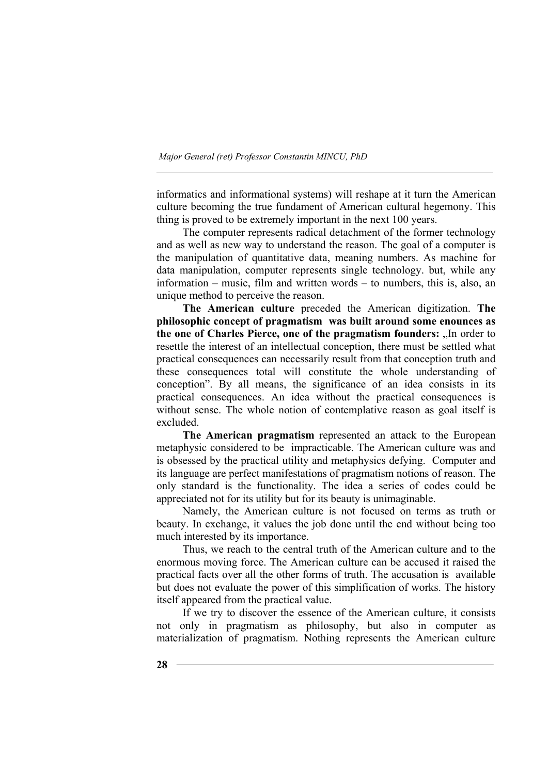informatics and informational systems) will reshape at it turn the American culture becoming the true fundament of American cultural hegemony. This thing is proved to be extremely important in the next 100 years.

The computer represents radical detachment of the former technology and as well as new way to understand the reason. The goal of a computer is the manipulation of quantitative data, meaning numbers. As machine for data manipulation, computer represents single technology. but, while any information – music, film and written words – to numbers, this is, also, an unique method to perceive the reason.

**The American culture** preceded the American digitization. **The philosophic concept of pragmatism was built around some enounces as**  the one of Charles Pierce, one of the pragmatism founders: "In order to resettle the interest of an intellectual conception, there must be settled what practical consequences can necessarily result from that conception truth and these consequences total will constitute the whole understanding of conception". By all means, the significance of an idea consists in its practical consequences. An idea without the practical consequences is without sense. The whole notion of contemplative reason as goal itself is excluded.

**The American pragmatism** represented an attack to the European metaphysic considered to be impracticable. The American culture was and is obsessed by the practical utility and metaphysics defying. Computer and its language are perfect manifestations of pragmatism notions of reason. The only standard is the functionality. The idea a series of codes could be appreciated not for its utility but for its beauty is unimaginable.

Namely, the American culture is not focused on terms as truth or beauty. In exchange, it values the job done until the end without being too much interested by its importance.

Thus, we reach to the central truth of the American culture and to the enormous moving force. The American culture can be accused it raised the practical facts over all the other forms of truth. The accusation is available but does not evaluate the power of this simplification of works. The history itself appeared from the practical value.

If we try to discover the essence of the American culture, it consists not only in pragmatism as philosophy, but also in computer as materialization of pragmatism. Nothing represents the American culture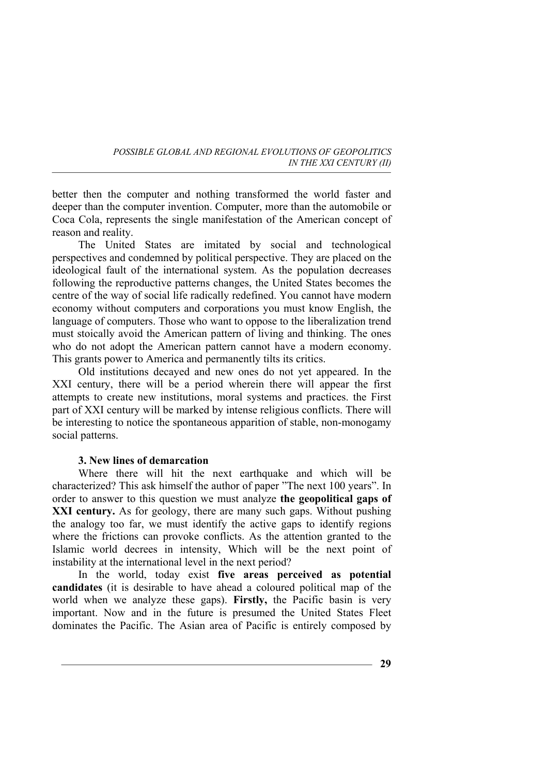better then the computer and nothing transformed the world faster and deeper than the computer invention. Computer, more than the automobile or Coca Cola, represents the single manifestation of the American concept of reason and reality.

The United States are imitated by social and technological perspectives and condemned by political perspective. They are placed on the ideological fault of the international system. As the population decreases following the reproductive patterns changes, the United States becomes the centre of the way of social life radically redefined. You cannot have modern economy without computers and corporations you must know English, the language of computers. Those who want to oppose to the liberalization trend must stoically avoid the American pattern of living and thinking. The ones who do not adopt the American pattern cannot have a modern economy. This grants power to America and permanently tilts its critics.

Old institutions decayed and new ones do not yet appeared. In the XXI century, there will be a period wherein there will appear the first attempts to create new institutions, moral systems and practices. the First part of XXI century will be marked by intense religious conflicts. There will be interesting to notice the spontaneous apparition of stable, non-monogamy social patterns.

## **3. New lines of demarcation**

Where there will hit the next earthquake and which will be characterized? This ask himself the author of paper "The next 100 years". In order to answer to this question we must analyze **the geopolitical gaps of XXI century.** As for geology, there are many such gaps. Without pushing the analogy too far, we must identify the active gaps to identify regions where the frictions can provoke conflicts. As the attention granted to the Islamic world decrees in intensity, Which will be the next point of instability at the international level in the next period?

In the world, today exist **five areas perceived as potential candidates** (it is desirable to have ahead a coloured political map of the world when we analyze these gaps). **Firstly,** the Pacific basin is very important. Now and in the future is presumed the United States Fleet dominates the Pacific. The Asian area of Pacific is entirely composed by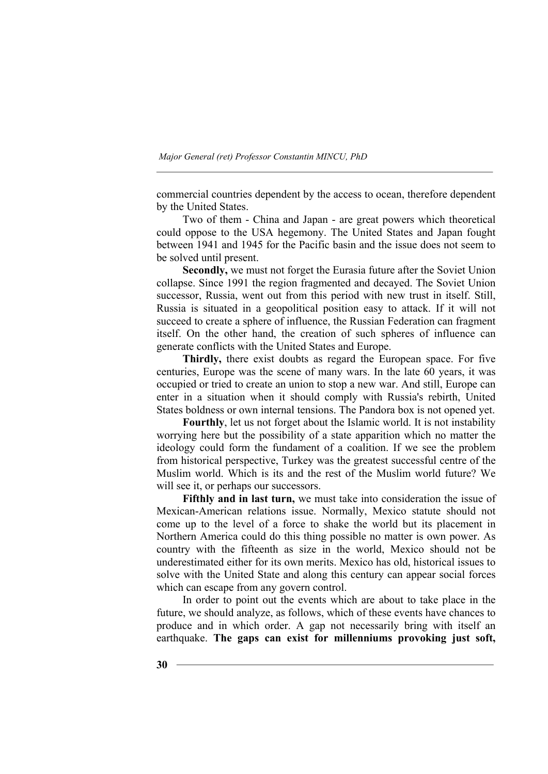commercial countries dependent by the access to ocean, therefore dependent by the United States.

Two of them - China and Japan - are great powers which theoretical could oppose to the USA hegemony. The United States and Japan fought between 1941 and 1945 for the Pacific basin and the issue does not seem to be solved until present.

**Secondly,** we must not forget the Eurasia future after the Soviet Union collapse. Since 1991 the region fragmented and decayed. The Soviet Union successor, Russia, went out from this period with new trust in itself. Still, Russia is situated in a geopolitical position easy to attack. If it will not succeed to create a sphere of influence, the Russian Federation can fragment itself. On the other hand, the creation of such spheres of influence can generate conflicts with the United States and Europe.

**Thirdly,** there exist doubts as regard the European space. For five centuries, Europe was the scene of many wars. In the late 60 years, it was occupied or tried to create an union to stop a new war. And still, Europe can enter in a situation when it should comply with Russia's rebirth, United States boldness or own internal tensions. The Pandora box is not opened yet.

**Fourthly**, let us not forget about the Islamic world. It is not instability worrying here but the possibility of a state apparition which no matter the ideology could form the fundament of a coalition. If we see the problem from historical perspective, Turkey was the greatest successful centre of the Muslim world. Which is its and the rest of the Muslim world future? We will see it, or perhaps our successors.

**Fifthly and in last turn,** we must take into consideration the issue of Mexican-American relations issue. Normally, Mexico statute should not come up to the level of a force to shake the world but its placement in Northern America could do this thing possible no matter is own power. As country with the fifteenth as size in the world, Mexico should not be underestimated either for its own merits. Mexico has old, historical issues to solve with the United State and along this century can appear social forces which can escape from any govern control.

In order to point out the events which are about to take place in the future, we should analyze, as follows, which of these events have chances to produce and in which order. A gap not necessarily bring with itself an earthquake. **The gaps can exist for millenniums provoking just soft,**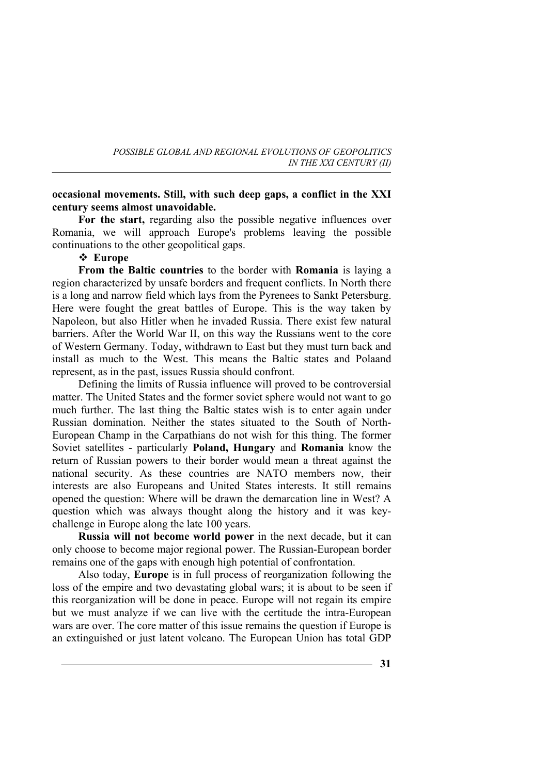## **occasional movements. Still, with such deep gaps, a conflict in the XXI century seems almost unavoidable.**

For the start, regarding also the possible negative influences over Romania, we will approach Europe's problems leaving the possible continuations to the other geopolitical gaps.

## **Europe**

**From the Baltic countries** to the border with **Romania** is laying a region characterized by unsafe borders and frequent conflicts. In North there is a long and narrow field which lays from the Pyrenees to Sankt Petersburg. Here were fought the great battles of Europe. This is the way taken by Napoleon, but also Hitler when he invaded Russia. There exist few natural barriers. After the World War II, on this way the Russians went to the core of Western Germany. Today, withdrawn to East but they must turn back and install as much to the West. This means the Baltic states and Polaand represent, as in the past, issues Russia should confront.

Defining the limits of Russia influence will proved to be controversial matter. The United States and the former soviet sphere would not want to go much further. The last thing the Baltic states wish is to enter again under Russian domination. Neither the states situated to the South of North-European Champ in the Carpathians do not wish for this thing. The former Soviet satellites - particularly **Poland, Hungary** and **Romania** know the return of Russian powers to their border would mean a threat against the national security. As these countries are NATO members now, their interests are also Europeans and United States interests. It still remains opened the question: Where will be drawn the demarcation line in West? A question which was always thought along the history and it was keychallenge in Europe along the late 100 years.

**Russia will not become world power** in the next decade, but it can only choose to become major regional power. The Russian-European border remains one of the gaps with enough high potential of confrontation.

Also today, **Europe** is in full process of reorganization following the loss of the empire and two devastating global wars; it is about to be seen if this reorganization will be done in peace. Europe will not regain its empire but we must analyze if we can live with the certitude the intra-European wars are over. The core matter of this issue remains the question if Europe is an extinguished or just latent volcano. The European Union has total GDP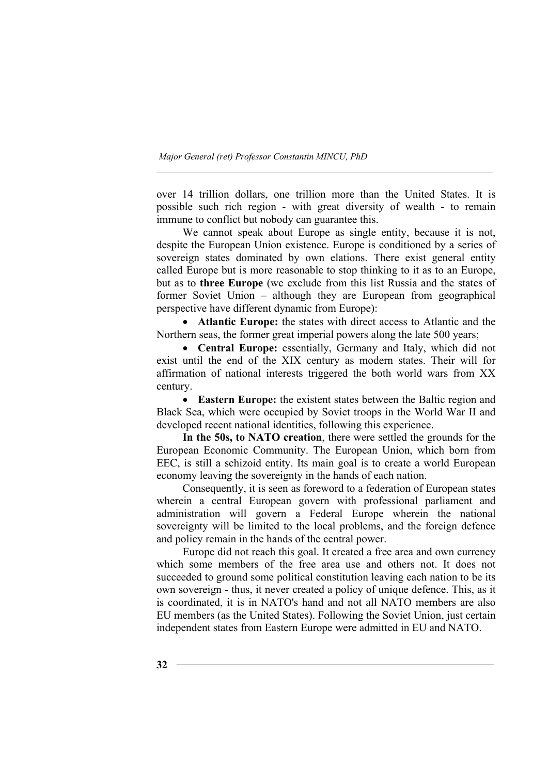over 14 trillion dollars, one trillion more than the United States. It is possible such rich region - with great diversity of wealth - to remain immune to conflict but nobody can guarantee this.

We cannot speak about Europe as single entity, because it is not, despite the European Union existence. Europe is conditioned by a series of sovereign states dominated by own elations. There exist general entity called Europe but is more reasonable to stop thinking to it as to an Europe, but as to **three Europe** (we exclude from this list Russia and the states of former Soviet Union – although they are European from geographical perspective have different dynamic from Europe):

• **Atlantic Europe:** the states with direct access to Atlantic and the Northern seas, the former great imperial powers along the late 500 years;

• **Central Europe:** essentially, Germany and Italy, which did not exist until the end of the XIX century as modern states. Their will for affirmation of national interests triggered the both world wars from XX century.

• **Eastern Europe:** the existent states between the Baltic region and Black Sea, which were occupied by Soviet troops in the World War II and developed recent national identities, following this experience.

**In the 50s, to NATO creation**, there were settled the grounds for the European Economic Community. The European Union, which born from EEC, is still a schizoid entity. Its main goal is to create a world European economy leaving the sovereignty in the hands of each nation.

Consequently, it is seen as foreword to a federation of European states wherein a central European govern with professional parliament and administration will govern a Federal Europe wherein the national sovereignty will be limited to the local problems, and the foreign defence and policy remain in the hands of the central power.

Europe did not reach this goal. It created a free area and own currency which some members of the free area use and others not. It does not succeeded to ground some political constitution leaving each nation to be its own sovereign - thus, it never created a policy of unique defence. This, as it is coordinated, it is in NATO's hand and not all NATO members are also EU members (as the United States). Following the Soviet Union, just certain independent states from Eastern Europe were admitted in EU and NATO.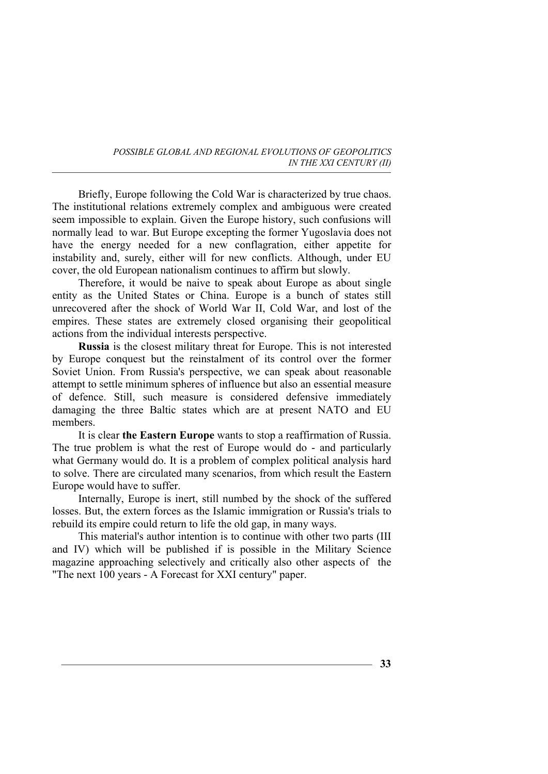Briefly, Europe following the Cold War is characterized by true chaos. The institutional relations extremely complex and ambiguous were created seem impossible to explain. Given the Europe history, such confusions will normally lead to war. But Europe excepting the former Yugoslavia does not have the energy needed for a new conflagration, either appetite for instability and, surely, either will for new conflicts. Although, under EU cover, the old European nationalism continues to affirm but slowly.

Therefore, it would be naive to speak about Europe as about single entity as the United States or China. Europe is a bunch of states still unrecovered after the shock of World War II, Cold War, and lost of the empires. These states are extremely closed organising their geopolitical actions from the individual interests perspective.

**Russia** is the closest military threat for Europe. This is not interested by Europe conquest but the reinstalment of its control over the former Soviet Union. From Russia's perspective, we can speak about reasonable attempt to settle minimum spheres of influence but also an essential measure of defence. Still, such measure is considered defensive immediately damaging the three Baltic states which are at present NATO and EU members.

It is clear **the Eastern Europe** wants to stop a reaffirmation of Russia. The true problem is what the rest of Europe would do - and particularly what Germany would do. It is a problem of complex political analysis hard to solve. There are circulated many scenarios, from which result the Eastern Europe would have to suffer.

Internally, Europe is inert, still numbed by the shock of the suffered losses. But, the extern forces as the Islamic immigration or Russia's trials to rebuild its empire could return to life the old gap, in many ways.

This material's author intention is to continue with other two parts (III and IV) which will be published if is possible in the Military Science magazine approaching selectively and critically also other aspects of the "The next 100 years - A Forecast for XXI century" paper.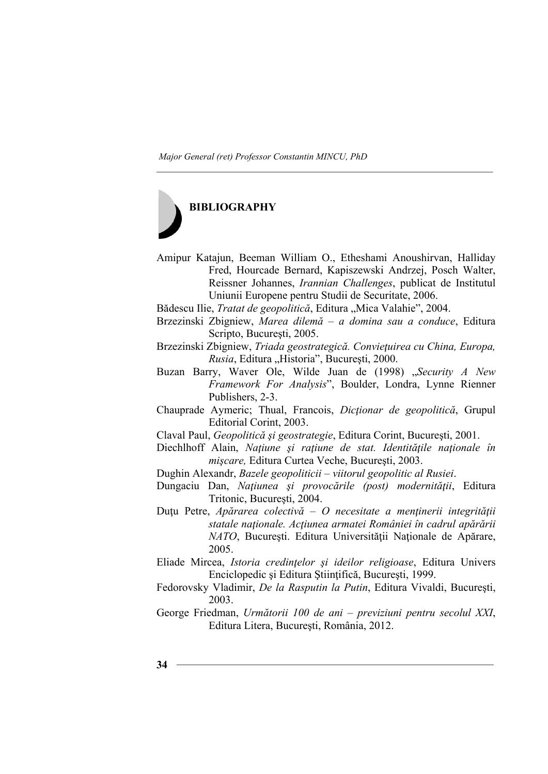

- Amipur Katajun, Beeman William O., Etheshami Anoushirvan, Halliday Fred, Hourcade Bernard, Kapiszewski Andrzej, Posch Walter, Reissner Johannes, *Irannian Challenges*, publicat de Institutul Uniunii Europene pentru Studii de Securitate, 2006.
- Bădescu Ilie, *Tratat de geopolitică*, Editura "Mica Valahie", 2004.
- Brzezinski Zbigniew, *Marea dilemă a domina sau a conduce*, Editura Scripto, Bucureşti, 2005.

Brzezinski Zbigniew, *Triada geostrategică. Convieţuirea cu China, Europa, Rusia*, Editura "Historia", București, 2000.

Buzan Barry, Waver Ole, Wilde Juan de (1998) "Security A New *Framework For Analysis*", Boulder, Londra, Lynne Rienner Publishers, 2-3.

Chauprade Aymeric; Thual, Francois, *Dicţionar de geopolitică*, Grupul Editorial Corint, 2003.

Claval Paul, *Geopolitică şi geostrategie*, Editura Corint, Bucureşti, 2001.

Diechlhoff Alain, *Naţiune şi raţiune de stat. Identităţile naţionale în mişcare,* Editura Curtea Veche, Bucureşti, 2003.

Dughin Alexandr, *Bazele geopoliticii – viitorul geopolitic al Rusiei*.

Dungaciu Dan, *Naţiunea şi provocările (post) modernităţii*, Editura Tritonic, Bucureşti, 2004.

- Duţu Petre, *Apărarea colectivă O necesitate a menţinerii integrităţii statale naţionale. Acţiunea armatei României în cadrul apărării NATO*, București. Editura Universității Naționale de Apărare, 2005.
- Eliade Mircea, *Istoria credinţelor şi ideilor religioase*, Editura Univers Enciclopedic şi Editura Ştiinţifică, Bucureşti, 1999.
- Fedorovsky Vladimir, *De la Rasputin la Putin*, Editura Vivaldi, Bucureşti, 2003.
- George Friedman, *Următorii 100 de ani previziuni pentru secolul XXI*, Editura Litera, Bucureşti, România, 2012.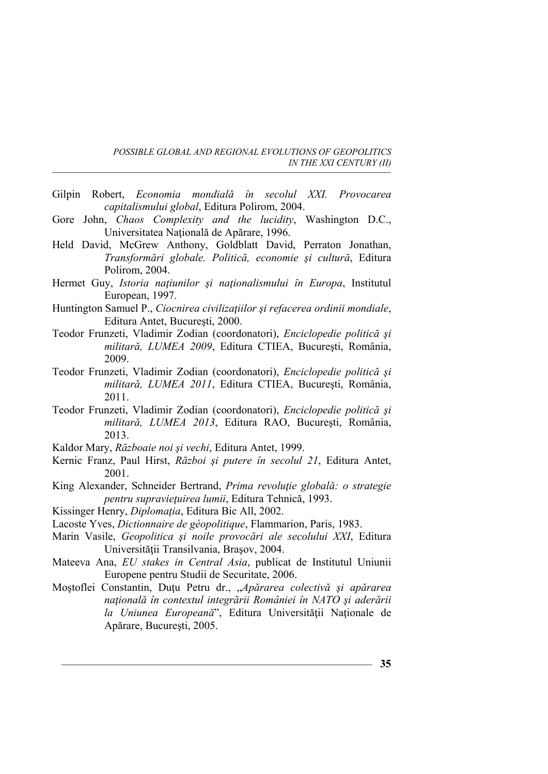- Gilpin Robert, *Economia mondială în secolul XXI. Provocarea capitalismului global*, Editura Polirom, 2004.
- Gore John, *Chaos Complexity and the lucidity*, Washington D.C., Universitatea Naţională de Apărare, 1996.
- Held David, McGrew Anthony, Goldblatt David, Perraton Jonathan, *Transformări globale. Politică, economie şi cultură*, Editura Polirom, 2004.
- Hermet Guy, *Istoria naţiunilor şi naţionalismului în Europa*, Institutul European, 1997.
- Huntington Samuel P., *Ciocnirea civilizaţiilor şi refacerea ordinii mondiale*, Editura Antet, Bucureşti, 2000.
- Teodor Frunzeti, Vladimir Zodian (coordonatori), *Enciclopedie politică şi militară, LUMEA 2009*, Editura CTIEA, Bucureşti, România, 2009.
- Teodor Frunzeti, Vladimir Zodian (coordonatori), *Enciclopedie politică şi militară, LUMEA 2011*, Editura CTIEA, Bucureşti, România, 2011.
- Teodor Frunzeti, Vladimir Zodian (coordonatori), *Enciclopedie politică şi militară, LUMEA 2013*, Editura RAO, Bucureşti, România, 2013.
- Kaldor Mary, *Războaie noi şi vechi*, Editura Antet, 1999.
- Kernic Franz, Paul Hirst, *Război şi putere în secolul 21*, Editura Antet, 2001.
- King Alexander, Schneider Bertrand, *Prima revoluţie globală: o strategie pentru supravieţuirea lumii*, Editura Tehnică, 1993.
- Kissinger Henry, *Diplomaţia*, Editura Bic All, 2002.
- Lacoste Yves, *Dictionnaire de géopolitique*, Flammarion, Paris, 1983.
- Marin Vasile, *Geopolitica şi noile provocări ale secolului XXI*, Editura Universității Transilvania, Brasov, 2004.
- Mateeva Ana, *EU stakes in Central Asia*, publicat de Institutul Uniunii Europene pentru Studii de Securitate, 2006.
- Moştoflei Constantin, Duţu Petru dr., "*Apărarea colectivă şi apărarea naţională în contextul integrării României în NATO şi aderării la Uniunea Europeană*", Editura Universităţii Naţionale de Apărare, Bucureşti, 2005.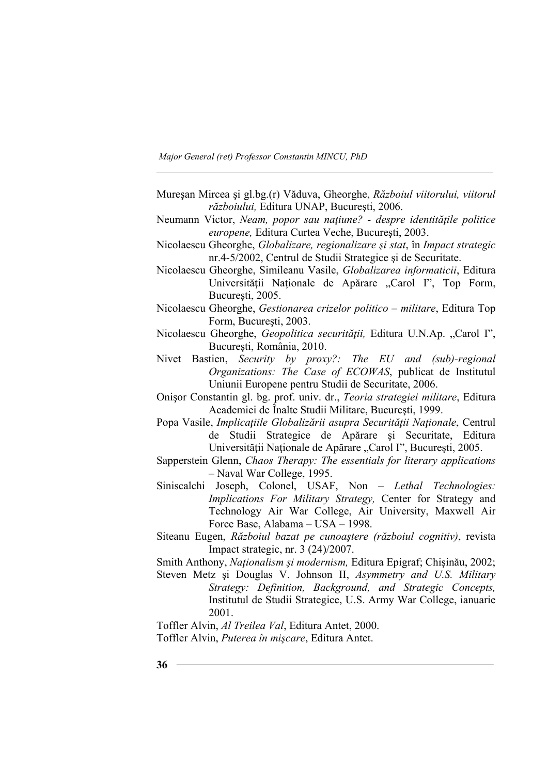- Mureşan Mircea şi gl.bg.(r) Văduva, Gheorghe, *Războiul viitorului, viitorul războiului,* Editura UNAP, Bucureşti, 2006.
- Neumann Victor, *Neam, popor sau naţiune? despre identităţile politice europene,* Editura Curtea Veche, Bucureşti, 2003.
- Nicolaescu Gheorghe, *Globalizare, regionalizare şi stat*, în *Impact strategic* nr.4-5/2002, Centrul de Studii Strategice şi de Securitate.
- Nicolaescu Gheorghe, Simileanu Vasile, *Globalizarea informaticii*, Editura Universității Naționale de Apărare "Carol I", Top Form, Bucureşti, 2005.
- Nicolaescu Gheorghe, *Gestionarea crizelor politico militare*, Editura Top Form, Bucureşti, 2003.
- Nicolaescu Gheorghe, *Geopolitica securităţii,* Editura U.N.Ap. "Carol I", Bucureşti, România, 2010.
- Nivet Bastien, *Security by proxy?: The EU and (sub)-regional Organizations: The Case of ECOWAS*, publicat de Institutul Uniunii Europene pentru Studii de Securitate, 2006.
- Onişor Constantin gl. bg. prof. univ. dr., *Teoria strategiei militare*, Editura Academiei de Înalte Studii Militare, Bucureşti, 1999.
- Popa Vasile, *Implicaţiile Globalizării asupra Securităţii Naţionale*, Centrul de Studii Strategice de Apărare şi Securitate, Editura Universității Naționale de Apărare "Carol I", București, 2005.
- Sapperstein Glenn, *Chaos Therapy: The essentials for literary applications* – Naval War College, 1995.
- Siniscalchi Joseph, Colonel, USAF, Non *Lethal Technologies: Implications For Military Strategy,* Center for Strategy and Technology Air War College, Air University, Maxwell Air Force Base, Alabama – USA – 1998.
- Siteanu Eugen, *Războiul bazat pe cunoaştere (războiul cognitiv)*, revista Impact strategic, nr. 3 (24)/2007.
- Smith Anthony, *Naţionalism şi modernism,* Editura Epigraf; Chişinău, 2002;
- Steven Metz şi Douglas V. Johnson II, *Asymmetry and U.S. Military Strategy: Definition, Background, and Strategic Concepts,* Institutul de Studii Strategice, U.S. Army War College, ianuarie 2001.

Toffler Alvin, *Al Treilea Val*, Editura Antet, 2000. Toffler Alvin, *Puterea în mişcare*, Editura Antet.